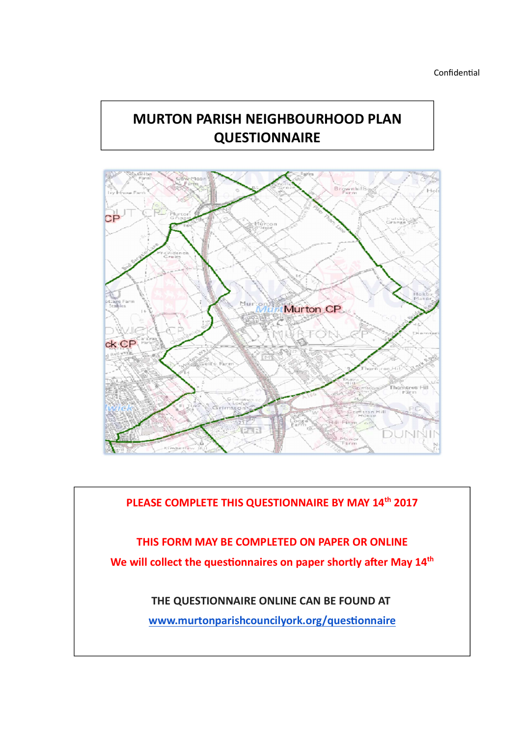# MURTON PARISH NEIGHBOURHOOD PLAN **QUESTIONNAIRE**



PLEASE COMPLETE THIS QUESTIONNAIRE BY MAY 14<sup>th</sup> 2017 THIS FORM MAY BE COMPLETED ON PAPER OR ONLINE We will collect the questionnaires on paper shortly after May 14<sup>th</sup> THE QUESTIONNAIRE ONLINE CAN BE FOUND AT www.murtonparishcouncilyork.org/questionnaire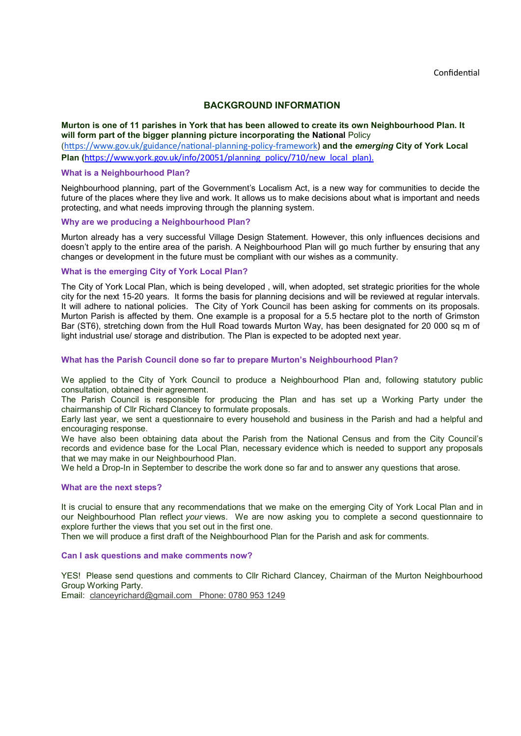### BACKGROUND INFORMATION

#### Murton is one of 11 parishes in York that has been allowed to create its own Neighbourhood Plan. It will form part of the bigger planning picture incorporating the National Policy

(https://www.gov.uk/guidance/national-planning-policy-framework) and the emerging City of York Local Plan (https://www.york.gov.uk/info/20051/planning\_policy/710/new\_local\_plan).

#### What is a Neighbourhood Plan?

Neighbourhood planning, part of the Government's Localism Act, is a new way for communities to decide the future of the places where they live and work. It allows us to make decisions about what is important and needs protecting, and what needs improving through the planning system.

#### Why are we producing a Neighbourhood Plan?

Murton already has a very successful Village Design Statement. However, this only influences decisions and doesn't apply to the entire area of the parish. A Neighbourhood Plan will go much further by ensuring that any changes or development in the future must be compliant with our wishes as a community.

#### What is the emerging City of York Local Plan?

The City of York Local Plan, which is being developed , will, when adopted, set strategic priorities for the whole city for the next 15-20 years. It forms the basis for planning decisions and will be reviewed at regular intervals. It will adhere to national policies. The City of York Council has been asking for comments on its proposals. Murton Parish is affected by them. One example is a proposal for a 5.5 hectare plot to the north of Grimston Bar (ST6), stretching down from the Hull Road towards Murton Way, has been designated for 20 000 sq m of light industrial use/ storage and distribution. The Plan is expected to be adopted next year.

#### What has the Parish Council done so far to prepare Murton's Neighbourhood Plan?

We applied to the City of York Council to produce a Neighbourhood Plan and, following statutory public consultation, obtained their agreement.

The Parish Council is responsible for producing the Plan and has set up a Working Party under the chairmanship of Cllr Richard Clancey to formulate proposals.

Early last year, we sent a questionnaire to every household and business in the Parish and had a helpful and encouraging response.

We have also been obtaining data about the Parish from the National Census and from the City Council's records and evidence base for the Local Plan, necessary evidence which is needed to support any proposals that we may make in our Neighbourhood Plan.

We held a Drop-In in September to describe the work done so far and to answer any questions that arose.

#### What are the next steps?

It is crucial to ensure that any recommendations that we make on the emerging City of York Local Plan and in our Neighbourhood Plan reflect your views. We are now asking you to complete a second questionnaire to explore further the views that you set out in the first one.

Then we will produce a first draft of the Neighbourhood Plan for the Parish and ask for comments.

#### Can I ask questions and make comments now?

YES! Please send questions and comments to Cllr Richard Clancey, Chairman of the Murton Neighbourhood Group Working Party.

Email: clanceyrichard@gmail.com Phone: 0780 953 1249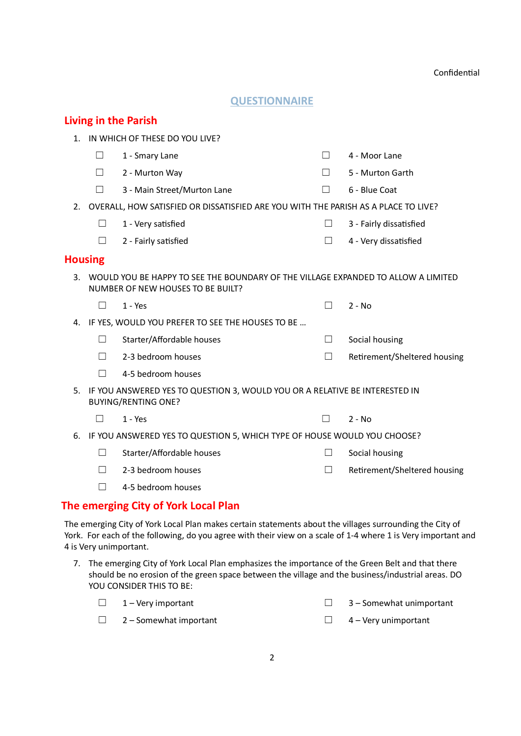# **QUESTIONNAIRE**

|                |         | <b>Living in the Parish</b>                                                                                            |         |                              |
|----------------|---------|------------------------------------------------------------------------------------------------------------------------|---------|------------------------------|
| 1.             |         | IN WHICH OF THESE DO YOU LIVE?                                                                                         |         |                              |
|                | $\Box$  | 1 - Smary Lane                                                                                                         | $\perp$ | 4 - Moor Lane                |
|                | $\perp$ | 2 - Murton Way                                                                                                         |         | 5 - Murton Garth             |
|                | П       | 3 - Main Street/Murton Lane                                                                                            | $\Box$  | 6 - Blue Coat                |
| 2.             |         | OVERALL, HOW SATISFIED OR DISSATISFIED ARE YOU WITH THE PARISH AS A PLACE TO LIVE?                                     |         |                              |
|                | П       | 1 - Very satisfied                                                                                                     | $\perp$ | 3 - Fairly dissatisfied      |
|                | П       | 2 - Fairly satisfied                                                                                                   | $\Box$  | 4 - Very dissatisfied        |
| <b>Housing</b> |         |                                                                                                                        |         |                              |
| 3.             |         | WOULD YOU BE HAPPY TO SEE THE BOUNDARY OF THE VILLAGE EXPANDED TO ALLOW A LIMITED<br>NUMBER OF NEW HOUSES TO BE BUILT? |         |                              |
|                | $\perp$ | $1 - Yes$                                                                                                              | $\Box$  | $2 - No$                     |
| 4.             |         | IF YES, WOULD YOU PREFER TO SEE THE HOUSES TO BE                                                                       |         |                              |
|                | $\perp$ | Starter/Affordable houses                                                                                              | $\Box$  | Social housing               |
|                | П       | 2-3 bedroom houses                                                                                                     | $\Box$  | Retirement/Sheltered housing |
|                | П       | 4-5 bedroom houses                                                                                                     |         |                              |
| 5.             |         | IF YOU ANSWERED YES TO QUESTION 3, WOULD YOU OR A RELATIVE BE INTERESTED IN<br><b>BUYING/RENTING ONE?</b>              |         |                              |
|                | П       | $1 - Yes$                                                                                                              |         | $2 - No$                     |
| 6.             |         | IF YOU ANSWERED YES TO QUESTION 5, WHICH TYPE OF HOUSE WOULD YOU CHOOSE?                                               |         |                              |
|                | П       | Starter/Affordable houses                                                                                              |         | Social housing               |
|                | П       | 2-3 bedroom houses                                                                                                     | $\Box$  | Retirement/Sheltered housing |
|                |         | 4-5 bedroom houses                                                                                                     |         |                              |

# The emerging City of York Local Plan

The emerging City of York Local Plan makes certain statements about the villages surrounding the City of York. For each of the following, do you agree with their view on a scale of 1-4 where 1 is Very important and 4 is Very unimportant.

7. The emerging City of York Local Plan emphasizes the importance of the Green Belt and that there should be no erosion of the green space between the village and the business/industrial areas. DO YOU CONSIDER THIS TO BE:

| $\Box$ 1 – Very important     | $\Box$ 3 – Somewhat unimportant |
|-------------------------------|---------------------------------|
| $\Box$ 2 – Somewhat important | $\Box$ 4 – Very unimportant     |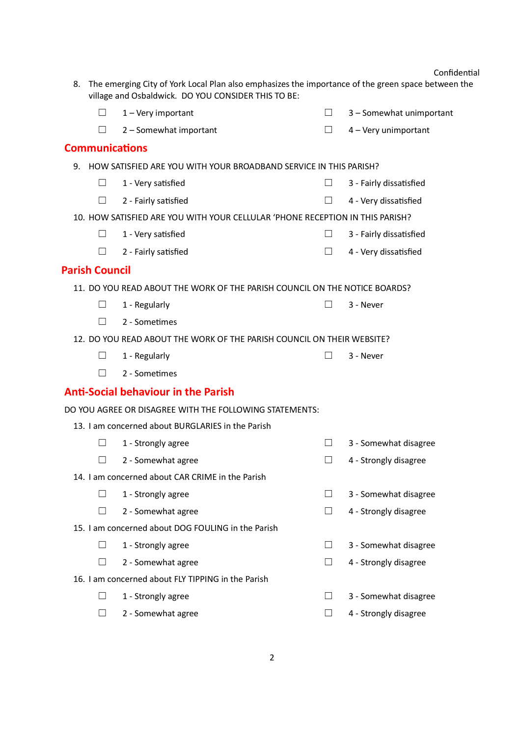| 8. |                       | The emerging City of York Local Plan also emphasizes the importance of the green space between the<br>village and Osbaldwick. DO YOU CONSIDER THIS TO BE: |         |                          |
|----|-----------------------|-----------------------------------------------------------------------------------------------------------------------------------------------------------|---------|--------------------------|
|    | $\Box$                | 1 - Very important                                                                                                                                        | $\Box$  | 3 - Somewhat unimportant |
|    | Ш                     | 2 - Somewhat important                                                                                                                                    | $\Box$  | 4 - Very unimportant     |
|    | <b>Communications</b> |                                                                                                                                                           |         |                          |
| 9. |                       | HOW SATISFIED ARE YOU WITH YOUR BROADBAND SERVICE IN THIS PARISH?                                                                                         |         |                          |
|    | $\Box$                | 1 - Very satisfied                                                                                                                                        | ш       | 3 - Fairly dissatisfied  |
|    | H                     | 2 - Fairly satisfied                                                                                                                                      |         | 4 - Very dissatisfied    |
|    |                       | 10. HOW SATISFIED ARE YOU WITH YOUR CELLULAR 'PHONE RECEPTION IN THIS PARISH?                                                                             |         |                          |
|    | $\Box$                | 1 - Very satisfied                                                                                                                                        | $\Box$  | 3 - Fairly dissatisfied  |
|    | $\Box$                | 2 - Fairly satisfied                                                                                                                                      | $\Box$  | 4 - Very dissatisfied    |
|    | <b>Parish Council</b> |                                                                                                                                                           |         |                          |
|    |                       | 11. DO YOU READ ABOUT THE WORK OF THE PARISH COUNCIL ON THE NOTICE BOARDS?                                                                                |         |                          |
|    | $\blacksquare$        | 1 - Regularly                                                                                                                                             |         | 3 - Never                |
|    | П                     | 2 - Sometimes                                                                                                                                             |         |                          |
|    |                       | 12. DO YOU READ ABOUT THE WORK OF THE PARISH COUNCIL ON THEIR WEBSITE?                                                                                    |         |                          |
|    | $\Box$                | 1 - Regularly                                                                                                                                             | $\perp$ | 3 - Never                |
|    | H                     | 2 - Sometimes                                                                                                                                             |         |                          |
|    |                       | <b>Anti-Social behaviour in the Parish</b>                                                                                                                |         |                          |
|    |                       | DO YOU AGREE OR DISAGREE WITH THE FOLLOWING STATEMENTS:                                                                                                   |         |                          |
|    |                       | 13. I am concerned about BURGLARIES in the Parish                                                                                                         |         |                          |
|    | $\Box$                | 1 - Strongly agree                                                                                                                                        | $\Box$  | 3 - Somewhat disagree    |
|    | ப                     | 2 - Somewhat agree                                                                                                                                        | $\Box$  | 4 - Strongly disagree    |
|    |                       | 14. I am concerned about CAR CRIME in the Parish                                                                                                          |         |                          |
|    | $\mathsf{L}$          | 1 - Strongly agree                                                                                                                                        | $\Box$  | 3 - Somewhat disagree    |
|    | $\perp$               | 2 - Somewhat agree                                                                                                                                        | $\Box$  | 4 - Strongly disagree    |
|    |                       | 15. I am concerned about DOG FOULING in the Parish                                                                                                        |         |                          |
|    | $\Box$                | 1 - Strongly agree                                                                                                                                        | $\Box$  | 3 - Somewhat disagree    |
|    | H                     | 2 - Somewhat agree                                                                                                                                        |         | 4 - Strongly disagree    |
|    |                       | 16. I am concerned about FLY TIPPING in the Parish                                                                                                        |         |                          |
|    | ⊔                     | 1 - Strongly agree                                                                                                                                        | $\perp$ | 3 - Somewhat disagree    |
|    | $\perp$               | 2 - Somewhat agree                                                                                                                                        | $\Box$  | 4 - Strongly disagree    |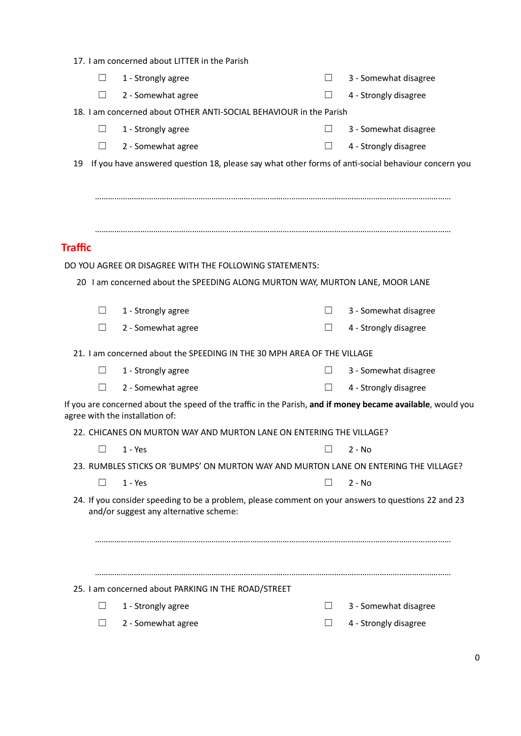|  | 17. I am concerned about LITTER in the Parish |  |  |
|--|-----------------------------------------------|--|--|
|  |                                               |  |  |

| $\perp$        | 1 - Strongly agree                                                                                                                                                                                                                                                                                                                                                                                                                                                                                                                                                                                                                                                                                                                                                                                                                                                                                                                                                                                                                    | $\Box$ | 3 - Somewhat disagree |
|----------------|---------------------------------------------------------------------------------------------------------------------------------------------------------------------------------------------------------------------------------------------------------------------------------------------------------------------------------------------------------------------------------------------------------------------------------------------------------------------------------------------------------------------------------------------------------------------------------------------------------------------------------------------------------------------------------------------------------------------------------------------------------------------------------------------------------------------------------------------------------------------------------------------------------------------------------------------------------------------------------------------------------------------------------------|--------|-----------------------|
| $\perp$        | 2 - Somewhat agree                                                                                                                                                                                                                                                                                                                                                                                                                                                                                                                                                                                                                                                                                                                                                                                                                                                                                                                                                                                                                    |        | 4 - Strongly disagree |
|                |                                                                                                                                                                                                                                                                                                                                                                                                                                                                                                                                                                                                                                                                                                                                                                                                                                                                                                                                                                                                                                       |        |                       |
| $\Box$         | 1 - Strongly agree                                                                                                                                                                                                                                                                                                                                                                                                                                                                                                                                                                                                                                                                                                                                                                                                                                                                                                                                                                                                                    | $\Box$ | 3 - Somewhat disagree |
| Ш              | 2 - Somewhat agree                                                                                                                                                                                                                                                                                                                                                                                                                                                                                                                                                                                                                                                                                                                                                                                                                                                                                                                                                                                                                    | $\Box$ | 4 - Strongly disagree |
| 19             | 18. I am concerned about OTHER ANTI-SOCIAL BEHAVIOUR in the Parish<br>If you have answered question 18, please say what other forms of anti-social behaviour concern you<br>DO YOU AGREE OR DISAGREE WITH THE FOLLOWING STATEMENTS:<br>20 I am concerned about the SPEEDING ALONG MURTON WAY, MURTON LANE, MOOR LANE<br>3 - Somewhat disagree<br>$\Box$<br>4 - Strongly disagree<br>$\perp$<br>21. I am concerned about the SPEEDING IN THE 30 MPH AREA OF THE VILLAGE<br>3 - Somewhat disagree<br>$\Box$<br>4 - Strongly disagree<br>$\Box$<br>If you are concerned about the speed of the traffic in the Parish, and if money became available, would you<br>22. CHICANES ON MURTON WAY AND MURTON LANE ON ENTERING THE VILLAGE?<br>$2 - No$<br>23. RUMBLES STICKS OR 'BUMPS' ON MURTON WAY AND MURTON LANE ON ENTERING THE VILLAGE?<br>$2 - No$<br>$\vert \ \ \vert$<br>24. If you consider speeding to be a problem, please comment on your answers to questions 22 and 23<br>25. I am concerned about PARKING IN THE ROAD/STREET |        |                       |
|                |                                                                                                                                                                                                                                                                                                                                                                                                                                                                                                                                                                                                                                                                                                                                                                                                                                                                                                                                                                                                                                       |        |                       |
|                |                                                                                                                                                                                                                                                                                                                                                                                                                                                                                                                                                                                                                                                                                                                                                                                                                                                                                                                                                                                                                                       |        |                       |
|                |                                                                                                                                                                                                                                                                                                                                                                                                                                                                                                                                                                                                                                                                                                                                                                                                                                                                                                                                                                                                                                       |        |                       |
| <b>Traffic</b> |                                                                                                                                                                                                                                                                                                                                                                                                                                                                                                                                                                                                                                                                                                                                                                                                                                                                                                                                                                                                                                       |        |                       |
|                |                                                                                                                                                                                                                                                                                                                                                                                                                                                                                                                                                                                                                                                                                                                                                                                                                                                                                                                                                                                                                                       |        |                       |
|                |                                                                                                                                                                                                                                                                                                                                                                                                                                                                                                                                                                                                                                                                                                                                                                                                                                                                                                                                                                                                                                       |        |                       |
|                |                                                                                                                                                                                                                                                                                                                                                                                                                                                                                                                                                                                                                                                                                                                                                                                                                                                                                                                                                                                                                                       |        |                       |
| $\Box$         | 1 - Strongly agree                                                                                                                                                                                                                                                                                                                                                                                                                                                                                                                                                                                                                                                                                                                                                                                                                                                                                                                                                                                                                    |        |                       |
| ш              | 2 - Somewhat agree                                                                                                                                                                                                                                                                                                                                                                                                                                                                                                                                                                                                                                                                                                                                                                                                                                                                                                                                                                                                                    |        |                       |
|                |                                                                                                                                                                                                                                                                                                                                                                                                                                                                                                                                                                                                                                                                                                                                                                                                                                                                                                                                                                                                                                       |        |                       |
| $\Box$         | 1 - Strongly agree                                                                                                                                                                                                                                                                                                                                                                                                                                                                                                                                                                                                                                                                                                                                                                                                                                                                                                                                                                                                                    |        |                       |
| Ш              | 2 - Somewhat agree                                                                                                                                                                                                                                                                                                                                                                                                                                                                                                                                                                                                                                                                                                                                                                                                                                                                                                                                                                                                                    |        |                       |
|                | agree with the installation of:                                                                                                                                                                                                                                                                                                                                                                                                                                                                                                                                                                                                                                                                                                                                                                                                                                                                                                                                                                                                       |        |                       |
|                |                                                                                                                                                                                                                                                                                                                                                                                                                                                                                                                                                                                                                                                                                                                                                                                                                                                                                                                                                                                                                                       |        |                       |
| H              | $1 - Yes$                                                                                                                                                                                                                                                                                                                                                                                                                                                                                                                                                                                                                                                                                                                                                                                                                                                                                                                                                                                                                             |        |                       |
|                |                                                                                                                                                                                                                                                                                                                                                                                                                                                                                                                                                                                                                                                                                                                                                                                                                                                                                                                                                                                                                                       |        |                       |
| $\Box$         | $1 - Yes$                                                                                                                                                                                                                                                                                                                                                                                                                                                                                                                                                                                                                                                                                                                                                                                                                                                                                                                                                                                                                             |        |                       |
|                | and/or suggest any alternative scheme:                                                                                                                                                                                                                                                                                                                                                                                                                                                                                                                                                                                                                                                                                                                                                                                                                                                                                                                                                                                                |        |                       |
|                |                                                                                                                                                                                                                                                                                                                                                                                                                                                                                                                                                                                                                                                                                                                                                                                                                                                                                                                                                                                                                                       |        |                       |
|                |                                                                                                                                                                                                                                                                                                                                                                                                                                                                                                                                                                                                                                                                                                                                                                                                                                                                                                                                                                                                                                       |        |                       |
|                |                                                                                                                                                                                                                                                                                                                                                                                                                                                                                                                                                                                                                                                                                                                                                                                                                                                                                                                                                                                                                                       |        |                       |
|                |                                                                                                                                                                                                                                                                                                                                                                                                                                                                                                                                                                                                                                                                                                                                                                                                                                                                                                                                                                                                                                       |        |                       |
|                | 1 - Strongly agree                                                                                                                                                                                                                                                                                                                                                                                                                                                                                                                                                                                                                                                                                                                                                                                                                                                                                                                                                                                                                    | $\Box$ | 3 - Somewhat disagree |
|                | 2 - Somewhat agree                                                                                                                                                                                                                                                                                                                                                                                                                                                                                                                                                                                                                                                                                                                                                                                                                                                                                                                                                                                                                    |        | 4 - Strongly disagree |

□ 4 - Strongly disagree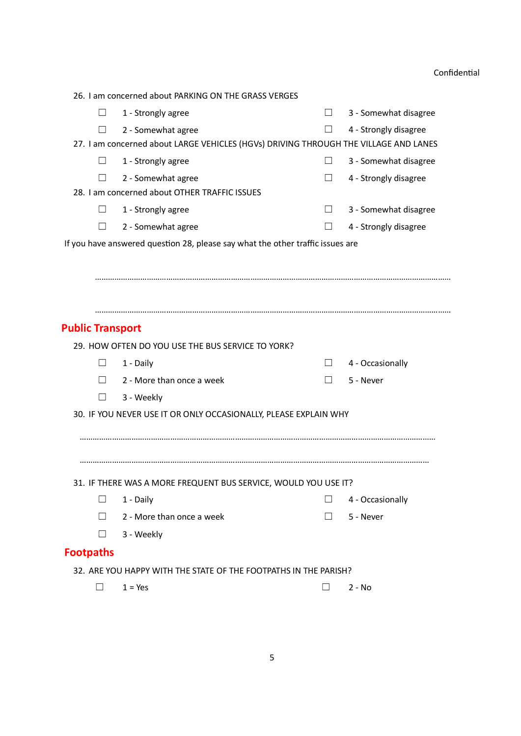|                         | 26. I am concerned about PARKING ON THE GRASS VERGES                                 |         |                       |
|-------------------------|--------------------------------------------------------------------------------------|---------|-----------------------|
| H                       | 1 - Strongly agree                                                                   | $\Box$  | 3 - Somewhat disagree |
|                         | 2 - Somewhat agree                                                                   | $\Box$  | 4 - Strongly disagree |
|                         | 27. I am concerned about LARGE VEHICLES (HGVs) DRIVING THROUGH THE VILLAGE AND LANES |         |                       |
| $\perp$                 | 1 - Strongly agree                                                                   | $\perp$ | 3 - Somewhat disagree |
| $\Box$                  | 2 - Somewhat agree                                                                   | $\perp$ | 4 - Strongly disagree |
|                         | 28. I am concerned about OTHER TRAFFIC ISSUES                                        |         |                       |
| $\mathbf{L}$            | 1 - Strongly agree                                                                   | $\perp$ | 3 - Somewhat disagree |
| ⊔                       | 2 - Somewhat agree                                                                   | $\Box$  | 4 - Strongly disagree |
|                         | If you have answered question 28, please say what the other traffic issues are       |         |                       |
|                         |                                                                                      |         |                       |
|                         |                                                                                      |         |                       |
|                         |                                                                                      |         |                       |
|                         |                                                                                      |         |                       |
| <b>Public Transport</b> |                                                                                      |         |                       |
|                         | 29. HOW OFTEN DO YOU USE THE BUS SERVICE TO YORK?                                    |         |                       |
|                         | 1 - Daily                                                                            |         | 4 - Occasionally      |
|                         | 2 - More than once a week                                                            |         | 5 - Never             |
| Ш                       | 3 - Weekly                                                                           |         |                       |
|                         | 30. IF YOU NEVER USE IT OR ONLY OCCASIONALLY, PLEASE EXPLAIN WHY                     |         |                       |
|                         |                                                                                      |         |                       |
|                         |                                                                                      |         |                       |
|                         |                                                                                      |         |                       |
|                         | 31. IF THERE WAS A MORE FREQUENT BUS SERVICE, WOULD YOU USE IT?                      |         |                       |
| $\mathsf{L}$            | 1 - Daily                                                                            |         | 4 - Occasionally      |
| $\Box$                  | 2 - More than once a week                                                            | П       | 5 - Never             |
| $\Box$                  | 3 - Weekly                                                                           |         |                       |
| <b>Footpaths</b>        |                                                                                      |         |                       |
|                         | 32. ARE YOU HAPPY WITH THE STATE OF THE FOOTPATHS IN THE PARISH?                     |         |                       |
|                         |                                                                                      |         |                       |
| $\mathbf{I}$            | $1 = Yes$                                                                            | П       | 2 - No                |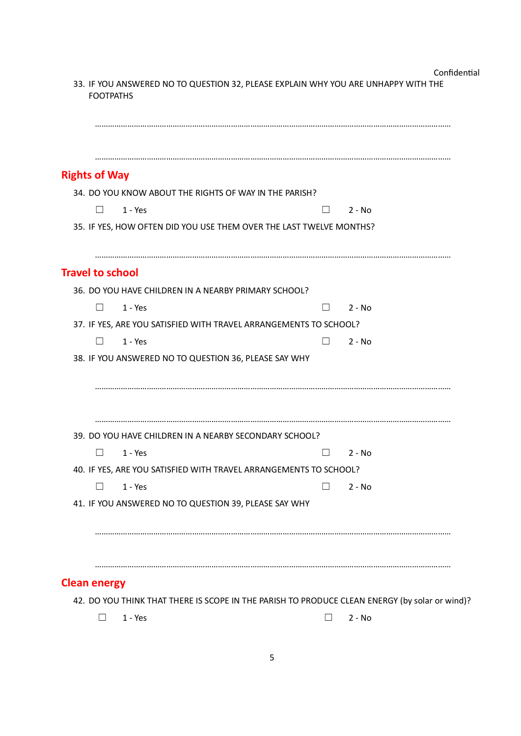| Confidential |  |
|--------------|--|
|              |  |

| <b>Rights of Way</b>    |                                                                     |                          |          |  |
|-------------------------|---------------------------------------------------------------------|--------------------------|----------|--|
|                         | 34. DO YOU KNOW ABOUT THE RIGHTS OF WAY IN THE PARISH?              |                          |          |  |
| $\perp$                 | $1 - Yes$                                                           | $\Box$                   | $2 - No$ |  |
|                         | 35. IF YES, HOW OFTEN DID YOU USE THEM OVER THE LAST TWELVE MONTHS? |                          |          |  |
| <b>Travel to school</b> |                                                                     |                          |          |  |
|                         | 36. DO YOU HAVE CHILDREN IN A NEARBY PRIMARY SCHOOL?                |                          |          |  |
| ш                       | $1 - Yes$                                                           | $\overline{\phantom{0}}$ | $2 - No$ |  |
|                         | 37. IF YES, ARE YOU SATISFIED WITH TRAVEL ARRANGEMENTS TO SCHOOL?   |                          |          |  |
| $\Box$                  | $1 - Yes$                                                           | $\Box$                   | $2 - No$ |  |
|                         | 38. IF YOU ANSWERED NO TO QUESTION 36, PLEASE SAY WHY               |                          |          |  |
|                         | 39. DO YOU HAVE CHILDREN IN A NEARBY SECONDARY SCHOOL?              |                          |          |  |
| $\mathsf{L}$            | $1 - Yes$                                                           |                          | $2 - No$ |  |
|                         | 40. IF YES, ARE YOU SATISFIED WITH TRAVEL ARRANGEMENTS TO SCHOOL?   |                          |          |  |
| $\mathbf{L}$            | $1 - Yes$                                                           | $\vert \ \ \vert$        | $2 - No$ |  |
|                         | 41. IF YOU ANSWERED NO TO QUESTION 39, PLEASE SAY WHY               |                          |          |  |
|                         |                                                                     |                          |          |  |
|                         |                                                                     |                          |          |  |

 $\Box$  1 - Yes  $\Box$  2 - No